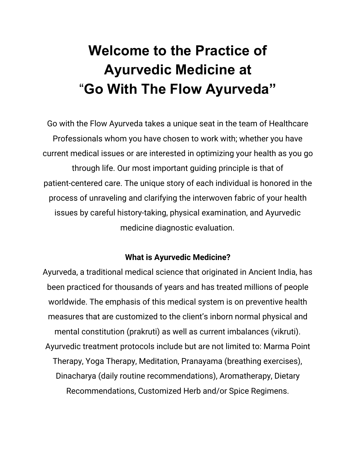## **Welcome to the Practice of Ayurvedic Medicine at** "**Go With The Flow Ayurveda"**

Go with the Flow Ayurveda takes a unique seat in the team of Healthcare Professionals whom you have chosen to work with; whether you have current medical issues or are interested in optimizing your health as you go through life. Our most important guiding principle is that of patient-centered care. The unique story of each individual is honored in the process of unraveling and clarifying the interwoven fabric of your health issues by careful history-taking, physical examination, and Ayurvedic medicine diagnostic evaluation.

## **What is Ayurvedic Medicine?**

Ayurveda, a traditional medical science that originated in Ancient India, has been practiced for thousands of years and has treated millions of people worldwide. The emphasis of this medical system is on preventive health measures that are customized to the client's inborn normal physical and mental constitution (prakruti) as well as current imbalances (vikruti). Ayurvedic treatment protocols include but are not limited to: Marma Point Therapy, Yoga Therapy, Meditation, Pranayama (breathing exercises), Dinacharya (daily routine recommendations), Aromatherapy, Dietary Recommendations, Customized Herb and/or Spice Regimens.